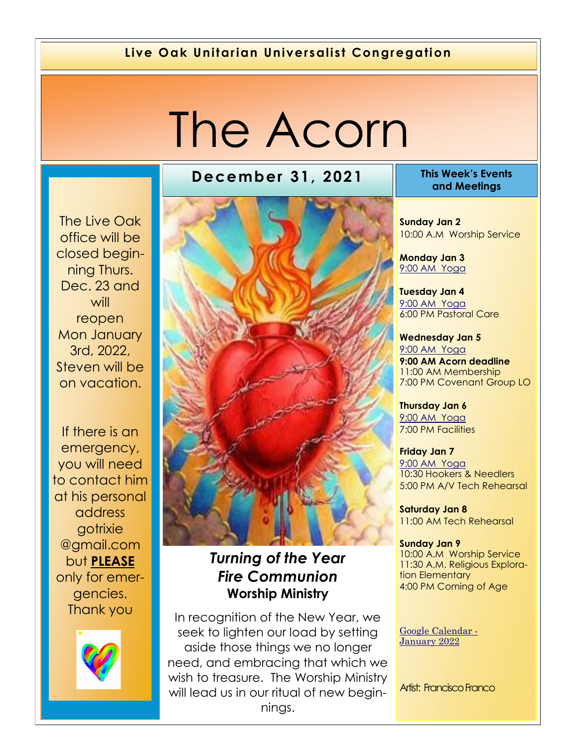#### **Live Oak Unitarian Universalist Congregation**

# The Acorn

The Live Oak office will be closed beginning Thurs. Dec. 23 and will reopen Mon January 3rd, 2022, Steven will be on vacation.

If there is an emergency, you will need to contact him at his personal address gotrixie @gmail.com but **PLEASE**  only for emergencies. Thank you



#### **December 31, 2021 This Week's Events**



## *Turning of the Year Fire Communion*  **Worship Ministry**

In recognition of the New Year, we seek to lighten our load by setting aside those things we no longer need, and embracing that which we wish to treasure. The Worship Ministry will lead us in our ritual of new beginnings.

**and Meetings** 

**Sunday Jan 2** 10:00 A.M Worship Service

**Monday Jan 3** 9[:00 AM Yoga](https://us02web.zoom.us/j/86278199291?pwd=WUh1MFJyVXNVOTIyQ1NmanJoSmNXQT09)

**Tuesday Jan 4** [9:](https://us02web.zoom.us/meeting/register/tZ0pc-6qrTwqH9WUfmrB_nZu0MWqJ8CyS3Uw)[00 AM Yoga](https://us02web.zoom.us/j/86278199291?pwd=WUh1MFJyVXNVOTIyQ1NmanJoSmNXQT09) 6:00 PM Pastoral Care

**Wednesday Jan 5** [9:](https://us02web.zoom.us/meeting/register/tZ0pc-6qrTwqH9WUfmrB_nZu0MWqJ8CyS3Uw)[00 AM Yoga](https://us02web.zoom.us/j/86278199291?pwd=WUh1MFJyVXNVOTIyQ1NmanJoSmNXQT09) **9:00 AM Acorn deadline**  11:00 AM Membership 7:00 PM Covenant Group LO

**Thursday Jan 6** [9:](https://us02web.zoom.us/meeting/register/tZ0pc-6qrTwqH9WUfmrB_nZu0MWqJ8CyS3Uw)[00 AM Yoga](https://us02web.zoom.us/j/86278199291?pwd=WUh1MFJyVXNVOTIyQ1NmanJoSmNXQT09) 7:00 PM Facilities

**Friday Jan 7** [9:](https://us02web.zoom.us/meeting/register/tZ0pc-6qrTwqH9WUfmrB_nZu0MWqJ8CyS3Uw)[00 AM Yoga](https://us02web.zoom.us/j/86278199291?pwd=WUh1MFJyVXNVOTIyQ1NmanJoSmNXQT09) 10:30 Hookers & Needlers 5:00 PM A/V Tech Rehearsal

**Saturday Jan 8** 11:00 AM Tech Rehearsal

**Sunday Jan 9** 10:00 A.M Worship Service 11:30 A.M. Religious Exploration Elementary 4:00 PM Coming of Age

[Google Calendar -](https://calendar.google.com/calendar/u/1/r/month/2022/1/1) [January 2022](https://calendar.google.com/calendar/u/1/r/month/2022/1/1)

Artist: Francisco Franco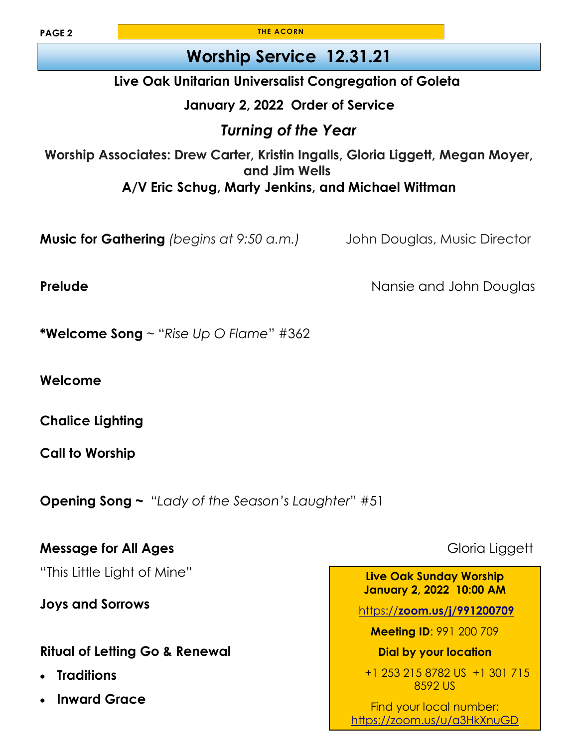**THE ACORN**

## **Worship Service 12.31.21**

#### **Live Oak Unitarian Universalist Congregation of Goleta**

#### **January 2, 2022 Order of Service**

## *Turning of the Year*

**Worship Associates: Drew Carter, Kristin Ingalls, Gloria Liggett, Megan Moyer, and Jim Wells A/V Eric Schug, Marty Jenkins, and Michael Wittman**

**Music for Gathering** *(begins at 9:50 a.m.)* John Douglas, Music Director

**Prelude Prelude Nansie and John Douglas** 

**\*Welcome Song** ~ "*Rise Up O Flame*" #362

**Welcome** 

**Chalice Lighting**

**Call to Worship** 

**Opening Song ~** "*Lady of the Season's Laughter*" #51

**Message for All Ages Gloria Liggett Gloria Liggett** 

"This Little Light of Mine"

**Joys and Sorrows** 

#### **Ritual of Letting Go & Renewal**

- **Traditions**
- **Inward Grace**

**Live Oak Sunday Worship January 2, 2022 10:00 AM**

https://**[zoom.us/j/991200709](https://zoom.us/j/991200709)**

**Meeting ID**: 991 200 709

**Dial by your location** 

+1 253 215 8782 US +1 301 715 8592 US

Find your local number: <https://zoom.us/u/a3HkXnuGD>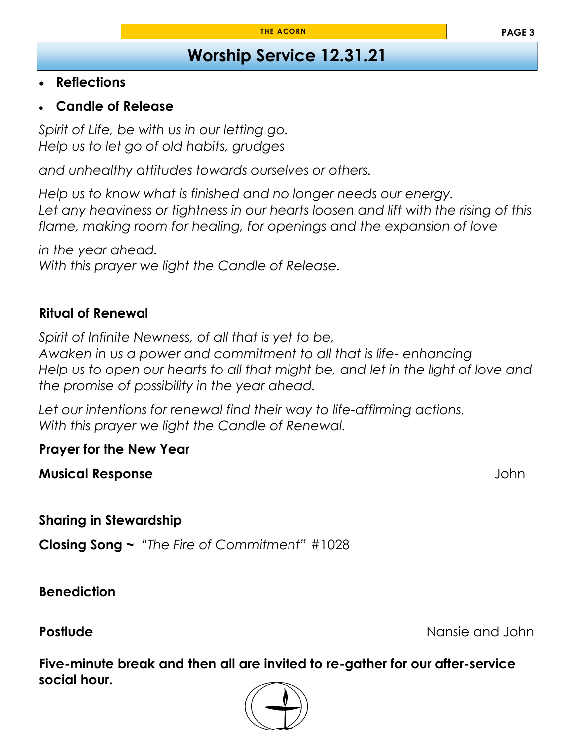## **Worship Service 12.31.21**

#### • **Reflections**

• **Candle of Release**

*Spirit of Life, be with us in our letting go. Help us to let go of old habits, grudges*

*and unhealthy attitudes towards ourselves or others.*

*Help us to know what is finished and no longer needs our energy.* Let any heaviness or tightness in our hearts loosen and lift with the rising of this *flame, making room for healing, for openings and the expansion of love*

*in the year ahead. With this prayer we light the Candle of Release.*

#### **Ritual of Renewal**

*Spirit of Infinite Newness, of all that is yet to be, Awaken in us a power and commitment to all that is life- enhancing Help us to open our hearts to all that might be, and let in the light of love and the promise of possibility in the year ahead.*

*Let our intentions for renewal find their way to life-affirming actions. With this prayer we light the Candle of Renewal.*

**Prayer for the New Year**

**Musical Response** John

**Sharing in Stewardship** 

**Closing Song ~** "*The Fire of Commitment"* #1028

**Benediction** 

**Postlude Postlude Nansie and John** 

**Five-minute break and then all are invited to re-gather for our after-service social hour.** 

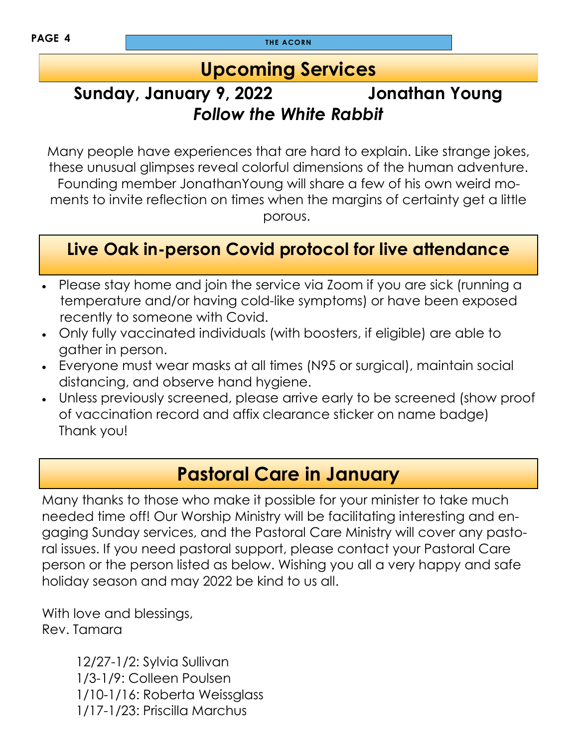## **Upcoming Services**

## **Sunday, January 9, 2022 Jonathan Young** *Follow the White Rabbit*

Many people have experiences that are hard to explain. Like strange jokes, these unusual glimpses reveal colorful dimensions of the human adventure. Founding member JonathanYoung will share a few of his own weird moments to invite reflection on times when the margins of certainty get a little porous.

## **Live Oak in-person Covid protocol for live attendance**

- Please stay home and join the service via Zoom if you are sick (running a temperature and/or having cold-like symptoms) or have been exposed recently to someone with Covid.
- Only fully vaccinated individuals (with boosters, if eligible) are able to gather in person.
- Everyone must wear masks at all times (N95 or surgical), maintain social distancing, and observe hand hygiene.
- Unless previously screened, please arrive early to be screened (show proof of vaccination record and affix clearance sticker on name badge) Thank you!

## **Pastoral Care in January**

Many thanks to those who make it possible for your minister to take much needed time off! Our Worship Ministry will be facilitating interesting and engaging Sunday services, and the Pastoral Care Ministry will cover any pastoral issues. If you need pastoral support, please contact your Pastoral Care person or the person listed as below. Wishing you all a very happy and safe holiday season and may 2022 be kind to us all.

With love and blessings, Rev. Tamara

> 12/27-1/2: Sylvia Sullivan 1/3-1/9: Colleen Poulsen 1/10-1/16: Roberta Weissglass 1/17-1/23: Priscilla Marchus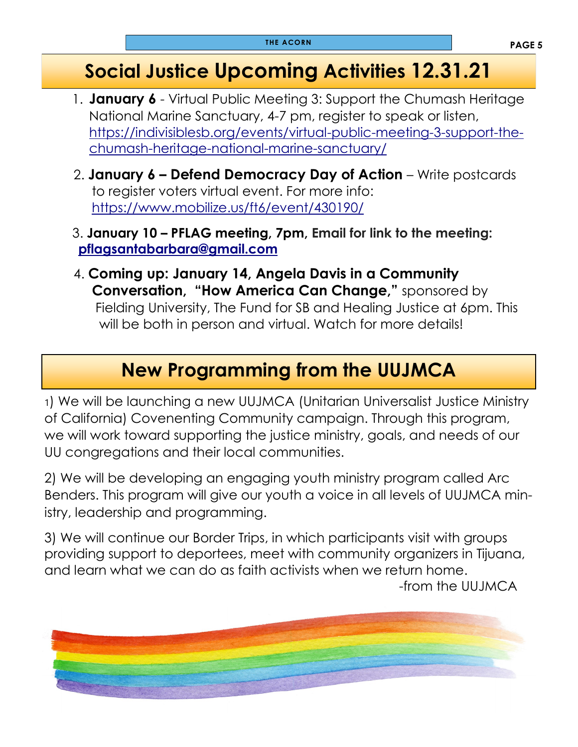## **Social Justice Upcoming Activities 12.31.21**

- 1. **January 6**  Virtual Public Meeting 3: Support the Chumash Heritage National Marine Sanctuary, 4-7 pm, register to speak or listen, [https://indivisiblesb.org/events/virtual-public-meeting-3-support-the](https://indivisiblesb.org/events/virtual-public-meeting-3-support-the-chumash-heritage-national-marine-sanctuary/)[chumash-heritage-national-marine-sanctuary/](https://indivisiblesb.org/events/virtual-public-meeting-3-support-the-chumash-heritage-national-marine-sanctuary/)
- 2. **January 6 – Defend Democracy Day of Action**  Write postcards to register voters virtual event. For more info: <https://www.mobilize.us/ft6/event/430190/>
- 3. **January 10 – PFLAG meeting, 7pm, Email for link to the meeting: [pflagsantabarbara@gmail.com](mailto:pflagsantabarbara@gmail.com)**
- 4. **Coming up: January 14, Angela Davis in a Community Conversation, "How America Can Change,"** sponsored by Fielding University, The Fund for SB and Healing Justice at 6pm. This will be both in person and virtual. Watch for more details!

## **New Programming from the UUJMCA**

1) We will be launching a new UUJMCA (Unitarian Universalist Justice Ministry of California) Covenenting Community campaign. Through this program, we will work toward supporting the justice ministry, goals, and needs of our UU congregations and their local communities.

2) We will be developing an engaging youth ministry program called Arc Benders. This program will give our youth a voice in all levels of UUJMCA ministry, leadership and programming.

3) We will continue our Border Trips, in which participants visit with groups providing support to deportees, meet with community organizers in Tijuana, and learn what we can do as faith activists when we return home.

-from the UUJMCA

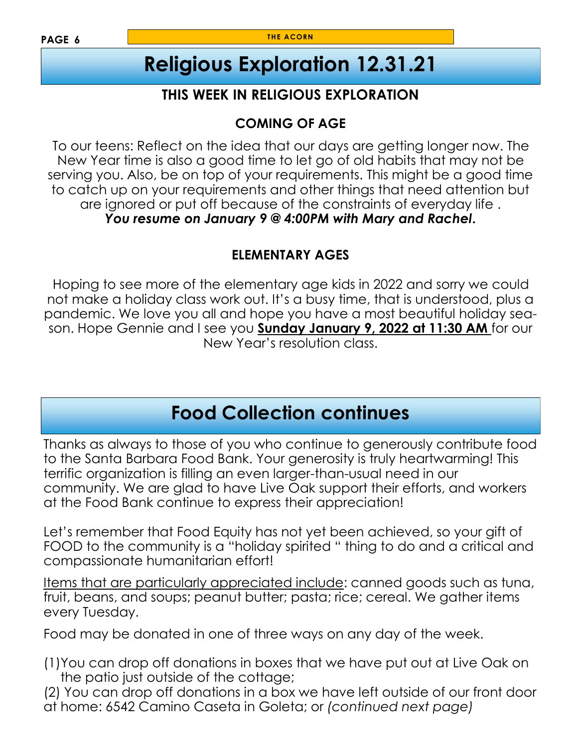# **Religious Exploration 12.31.21**

### **THIS WEEK IN RELIGIOUS EXPLORATION**

### **COMING OF AGE**

To our teens: Reflect on the idea that our days are getting longer now. The New Year time is also a good time to let go of old habits that may not be serving you. Also, be on top of your requirements. This might be a good time to catch up on your requirements and other things that need attention but are ignored or put off because of the constraints of everyday life . *You resume on January 9 @ 4:00PM with Mary and Rachel***.** 

#### **ELEMENTARY AGES**

Hoping to see more of the elementary age kids in 2022 and sorry we could not make a holiday class work out. It's a busy time, that is understood, plus a pandemic. We love you all and hope you have a most beautiful holiday season. Hope Gennie and I see you **Sunday January 9, 2022 at 11:30 AM** for our New Year's resolution class.

## **Food Collection continues**

Thanks as always to those of you who continue to generously contribute food to the Santa Barbara Food Bank. Your generosity is truly heartwarming! This terrific organization is filling an even larger-than-usual need in our community. We are glad to have Live Oak support their efforts, and workers at the Food Bank continue to express their appreciation!

Let's remember that Food Equity has not yet been achieved, so your gift of FOOD to the community is a "holiday spirited " thing to do and a critical and compassionate humanitarian effort!

Items that are particularly appreciated include: canned goods such as tuna, fruit, beans, and soups; peanut butter; pasta; rice; cereal. We gather items every Tuesday.

Food may be donated in one of three ways on any day of the week.

(1)You can drop off donations in boxes that we have put out at Live Oak on the patio just outside of the cottage;

(2) You can drop off donations in a box we have left outside of our front door at home: 6542 Camino Caseta in Goleta; or *(continued next page)*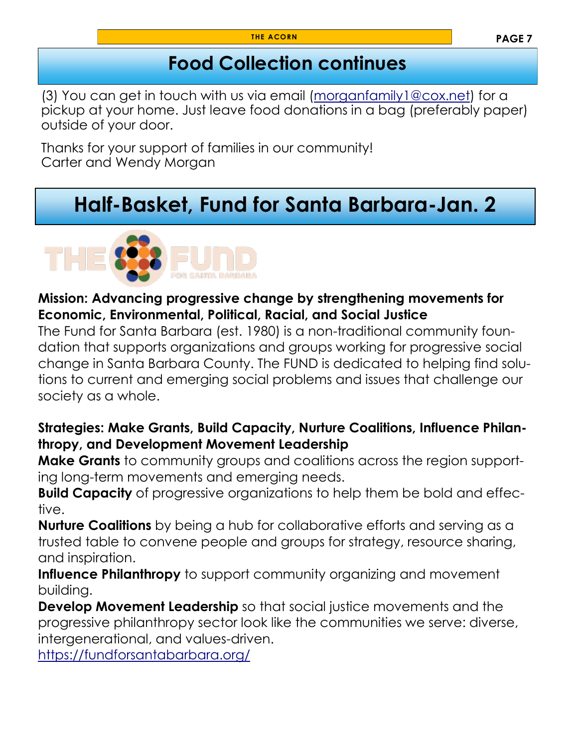## **Food Collection continues**

(3) You can get in touch with us via email ([morganfamily1@cox.net\)](mailto:morganfamily1@cox.net) for a pickup at your home. Just leave food donations in a bag (preferably paper) outside of your door.

Thanks for your support of families in our community! Carter and Wendy Morgan

# **Half-Basket, Fund for Santa Barbara-Jan. 2**



#### **Mission: Advancing progressive change by strengthening movements for Economic, Environmental, Political, Racial, and Social Justice**

The Fund for Santa Barbara (est. 1980) is a non-traditional community foundation that supports organizations and groups working for progressive social change in Santa Barbara County. The FUND is dedicated to helping find solutions to current and emerging social problems and issues that challenge our society as a whole.

#### **Strategies: Make Grants, Build Capacity, Nurture Coalitions, Influence Philanthropy, and Development Movement Leadership**

**Make Grants** to community groups and coalitions across the region supporting long-term movements and emerging needs.

**Build Capacity** of progressive organizations to help them be bold and effective.

**Nurture Coalitions** by being a hub for collaborative efforts and serving as a trusted table to convene people and groups for strategy, resource sharing, and inspiration.

**Influence Philanthropy** to support community organizing and movement building.

**Develop Movement Leadership** so that social justice movements and the progressive philanthropy sector look like the communities we serve: diverse, intergenerational, and values-driven.

<https://fundforsantabarbara.org/>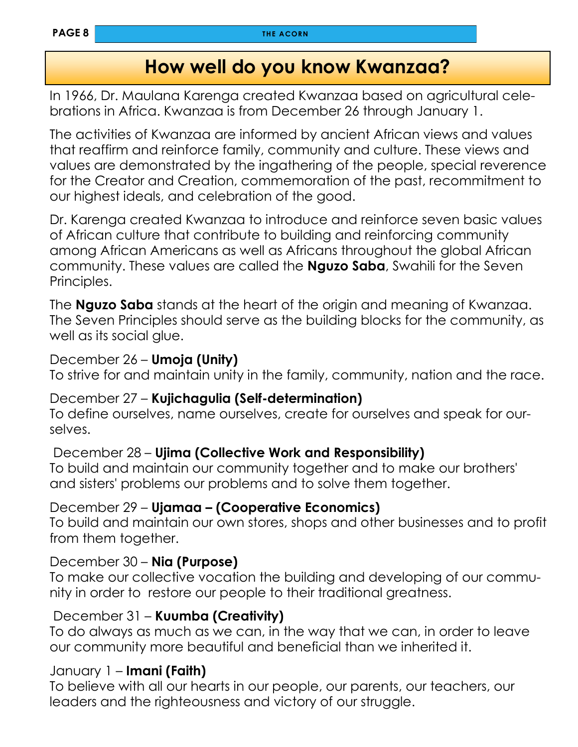## **How well do you know Kwanzaa?**

In 1966, Dr. Maulana Karenga created Kwanzaa based on agricultural celebrations in Africa. Kwanzaa is from December 26 through January 1.

The activities of Kwanzaa are informed by ancient African views and values that reaffirm and reinforce family, community and culture. These views and values are demonstrated by the ingathering of the people, special reverence for the Creator and Creation, commemoration of the past, recommitment to our highest ideals, and celebration of the good.

Dr. Karenga created Kwanzaa to introduce and reinforce seven basic values of African culture that contribute to building and reinforcing community among African Americans as well as Africans throughout the global African community. These values are called the **Nguzo Saba**, Swahili for the Seven Principles.

The **Nguzo Saba** stands at the heart of the origin and meaning of Kwanzaa. The Seven Principles should serve as the building blocks for the community, as well as its social glue.

#### December 26 – **Umoja (Unity)**

To strive for and maintain unity in the family, community, nation and the race.

#### December 27 – **Kujichagulia (Self-determination)**

To define ourselves, name ourselves, create for ourselves and speak for ourselves.

#### December 28 – **Ujima (Collective Work and Responsibility)**

To build and maintain our community together and to make our brothers' and sisters' problems our problems and to solve them together.

#### December 29 – **Ujamaa – (Cooperative Economics)**

To build and maintain our own stores, shops and other businesses and to profit from them together.

#### December 30 – **Nia (Purpose)**

To make our collective vocation the building and developing of our community in order to restore our people to their traditional greatness.

#### December 31 – **Kuumba (Creativity)**

To do always as much as we can, in the way that we can, in order to leave our community more beautiful and beneficial than we inherited it.

#### January 1 – **Imani (Faith)**

To believe with all our hearts in our people, our parents, our teachers, our leaders and the righteousness and victory of our struggle.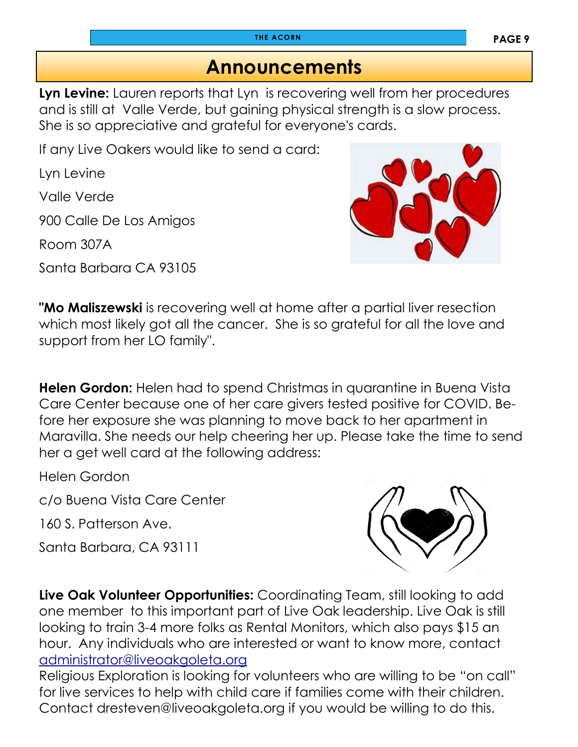## **Announcements**

**Lyn Levine:** Lauren reports that Lyn is recovering well from her procedures and is still at Valle Verde, but gaining physical strength is a slow process. She is so appreciative and grateful for everyone's cards.

If any Live Oakers would like to send a card:

Lyn Levine

Valle Verde

900 Calle De Los Amigos

Room 307A

Santa Barbara CA 93105



**"Mo Maliszewski** is recovering well at home after a partial liver resection which most likely got all the cancer. She is so grateful for all the love and support from her LO family".

**Helen Gordon:** Helen had to spend Christmas in quarantine in Buena Vista Care Center because one of her care givers tested positive for COVID. Before her exposure she was planning to move back to her apartment in Maravilla. She needs our help cheering her up. Please take the time to send her a get well card at the following address:

Helen Gordon

c/o Buena Vista Care Center

160 S. Patterson Ave.

Santa Barbara, CA 93111



**Live Oak Volunteer Opportunities:** Coordinating Team, still looking to add one member to this important part of Live Oak leadership. Live Oak is still looking to train 3-4 more folks as Rental Monitors, which also pays \$15 an hour. Any individuals who are interested or want to know more, contact [administrator@liveoakgoleta.org](mailto:administrator@liveoakgoleta.org)

Religious Exploration is looking for volunteers who are willing to be "on call" for live services to help with child care if families come with their children. Contact dresteven@liveoakgoleta.org if you would be willing to do this.